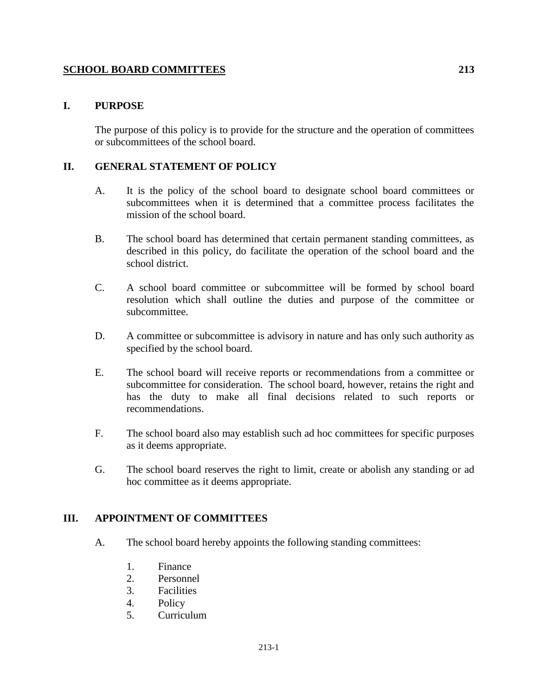# **SCHOOL BOARD COMMITTEES 213**

## **I. PURPOSE**

The purpose of this policy is to provide for the structure and the operation of committees or subcommittees of the school board.

## **II. GENERAL STATEMENT OF POLICY**

- A. It is the policy of the school board to designate school board committees or subcommittees when it is determined that a committee process facilitates the mission of the school board.
- B. The school board has determined that certain permanent standing committees, as described in this policy, do facilitate the operation of the school board and the school district.
- C. A school board committee or subcommittee will be formed by school board resolution which shall outline the duties and purpose of the committee or subcommittee.
- D. A committee or subcommittee is advisory in nature and has only such authority as specified by the school board.
- E. The school board will receive reports or recommendations from a committee or subcommittee for consideration. The school board, however, retains the right and has the duty to make all final decisions related to such reports or recommendations.
- F. The school board also may establish such ad hoc committees for specific purposes as it deems appropriate.
- G. The school board reserves the right to limit, create or abolish any standing or ad hoc committee as it deems appropriate.

## **III. APPOINTMENT OF COMMITTEES**

- A. The school board hereby appoints the following standing committees:
	- 1. Finance
	- 2. Personnel
	- 3. Facilities
	- 4. Policy
	- 5. Curriculum